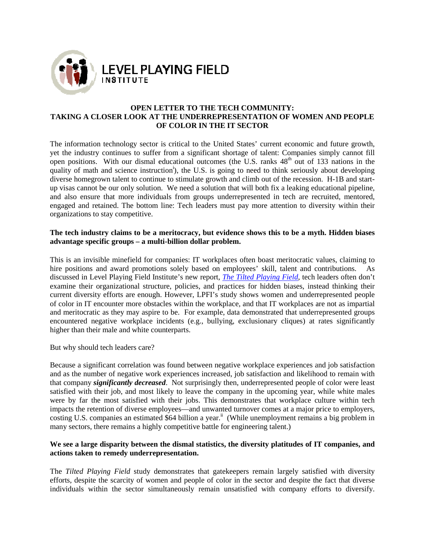

## **OPEN LETTER TO THE TECH COMMUNITY: TAKING A CLOSER LOOK AT THE UNDERREPRESENTATION OF WOMEN AND PEOPLE OF COLOR IN THE IT SECTOR**

The information technology sector is critical to the United States' current economic and future growth, yet the industry continues to suffer from a significant shortage of talent: Companies simply cannot fill open positions. With our dismal educational outcomes (the U.S. ranks  $48<sup>th</sup>$  out of 133 nations in the quality of math and science instruction<sup>i</sup>), the U.S. is going to need to think seriously about developing diverse homegrown talent to continue to stimulate growth and climb out of the recession. up visas cannot be our only solution. We need a solution that will both fix a leaking educational pipeline, and also ensure that more individuals from groups underrepresented in tech are recruited, mentored, engaged and retained. The bottom line: Tech leaders must pay more attention to diversity within their organizations to stay competitive. : Companies simply cannot fill  $48<sup>th</sup>$  out of 133 nations in the sink seriously about developing f the recession. H-1B and start-

## The tech industry claims to be a meritocracy, but evidence shows this to be a myth. Hidden biases advantage specific groups – a multi-billion dollar problem. **advantage specific groups – a multi**

This is an invisible minefield for companies: IT workplaces often boast meritocratic values, claiming to This is an invisible minefield for companies: IT workplaces often boast meritocratic values, claiming to hire positions and award promotions solely based on employees' skill, talent and contributions. As discussed in Level Playing Field Institute's new report, *The Tilted Playing Field*, tech leaders often don't examine their organizational structure, policies, and practices for hidden biases, instead thinking their examine their organizational structure, policies, and practices for hidden biases, instead thinking their<br>current diversity efforts are enough. However, LPFI's study shows women and underrepresented people of color in IT encounter more obstacles within the workplace, and that IT workplaces are not as impartial and meritocratic as they may aspire to be. For example, data demonstrated that underrepresented groups encountered negative workplace incidents (e.g., bullying, exclusionary cliques) at rates significantly higher than their male and white counterparts.

But why should tech leaders care?

Because a significant correlation was found between negative workplace experiences and job satisfaction Because a significant correlation was found between negative workplace experiences and job satisfaction<br>and as the number of negative work experiences increased, job satisfaction and likelihood to remain with that company *significantly decreased* . Not surprisingly then, underrepresented people of color were least satisfied with their job, and most likely to leave the company in the upcoming year, while white males were by far the most satisfied with their jobs. This demonstrates that workplace culture impacts the retention of diverse employees—and unwanted turnover comes at a major price to employers, costing U.S. companies an estimated \$64 billion a year.<sup>ii</sup> (While unemployment remains a big problem in many sectors, there remains a highly competitive battle for engineering talent.) ce, and that IT workplaces are not as impartial<br>taa demonstrated that underrepresented groups<br>, exclusionary cliques) at rates significantly<br>ive workplace experiences and job satisfaction<br>job satisfaction and likelihood to

## We see a large disparity between the dismal statistics, the diversity platitudes of IT companies, and **actions taken to remedy underrepresentation.**

The *Tilted Playing Field* study demonstrates that gatekeepers remain largely satisfied with diversity efforts, despite the scarcity of women and people of color in the sector and despite the fact that diverse The *Tilted Playing Field* study demonstrates that gatekeepers remain largely satisfied with diversity efforts, despite the scarcity of women and people of color in the sector and despite the fact that diverse individuals ver comes at a major price to employers,<br>unemployment remains a big problem in<br>eering talent.)<br>**ersity platitudes of IT companies, and**<br>remain largely satisfied with diversity<br>exector and despite the fact that diverse<br>ed w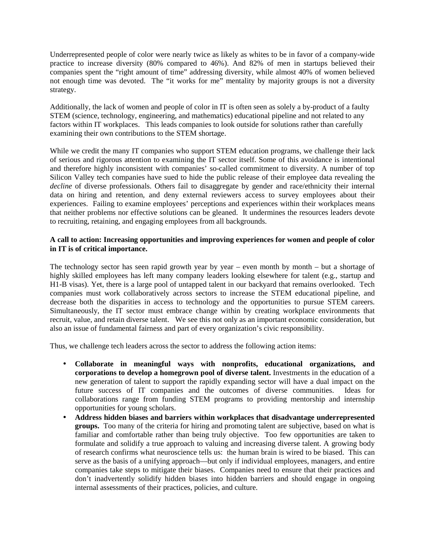Underrepresented people of color were nearly twice as likely as whites to be in favor of a company-wide practice to increase diversity (80% compared to 46%). And 82% of men in startups believed their companies spent the "right amount of time" addressing diversity, while almost 40% of women believed not enough time was devoted. The "it works for me" mentality by majority groups is not a diversity strategy.

Additionally, the lack of women and people of color in IT is often seen as solely a by-product of a faulty STEM (science, technology, engineering, and mathematics) educational pipeline and not related to any factors within IT workplaces. This leads companies to look outside for solutions rather than carefully examining their own contributions to the STEM shortage.

While we credit the many IT companies who support STEM education programs, we challenge their lack of serious and rigorous attention to examining the IT sector itself. Some of this avoidance is intentional and therefore highly inconsistent with companies' so-called commitment to diversity. A number of top Silicon Valley tech companies have sued to hide the public release of their employee data revealing the *decline* of diverse professionals. Others fail to disaggregate by gender and race/ethnicity their internal data on hiring and retention, and deny external reviewers access to survey employees about their experiences. Failing to examine employees' perceptions and experiences within their workplaces means that neither problems nor effective solutions can be gleaned. It undermines the resources leaders devote to recruiting, retaining, and engaging employees from all backgrounds.

## **A call to action: Increasing opportunities and improving experiences for women and people of color in IT is of critical importance.**

The technology sector has seen rapid growth year by year – even month by month – but a shortage of highly skilled employees has left many company leaders looking elsewhere for talent (e.g., startup and H1-B visas). Yet, there is a large pool of untapped talent in our backyard that remains overlooked. Tech companies must work collaboratively across sectors to increase the STEM educational pipeline, and decrease both the disparities in access to technology and the opportunities to pursue STEM careers. Simultaneously, the IT sector must embrace change within by creating workplace environments that recruit, value, and retain diverse talent. We see this not only as an important economic consideration, but also an issue of fundamental fairness and part of every organization's civic responsibility.

Thus, we challenge tech leaders across the sector to address the following action items:

- **Collaborate in meaningful ways with nonprofits, educational organizations, and corporations to develop a homegrown pool of diverse talent.** Investments in the education of a new generation of talent to support the rapidly expanding sector will have a dual impact on the future success of IT companies and the outcomes of diverse communities. Ideas for collaborations range from funding STEM programs to providing mentorship and internship opportunities for young scholars.
- **Address hidden biases and barriers within workplaces that disadvantage underrepresented groups.** Too many of the criteria for hiring and promoting talent are subjective, based on what is familiar and comfortable rather than being truly objective. Too few opportunities are taken to formulate and solidify a true approach to valuing and increasing diverse talent. A growing body of research confirms what neuroscience tells us: the human brain is wired to be biased. This can serve as the basis of a unifying approach—but only if individual employees, managers, and entire companies take steps to mitigate their biases. Companies need to ensure that their practices and don't inadvertently solidify hidden biases into hidden barriers and should engage in ongoing internal assessments of their practices, policies, and culture.